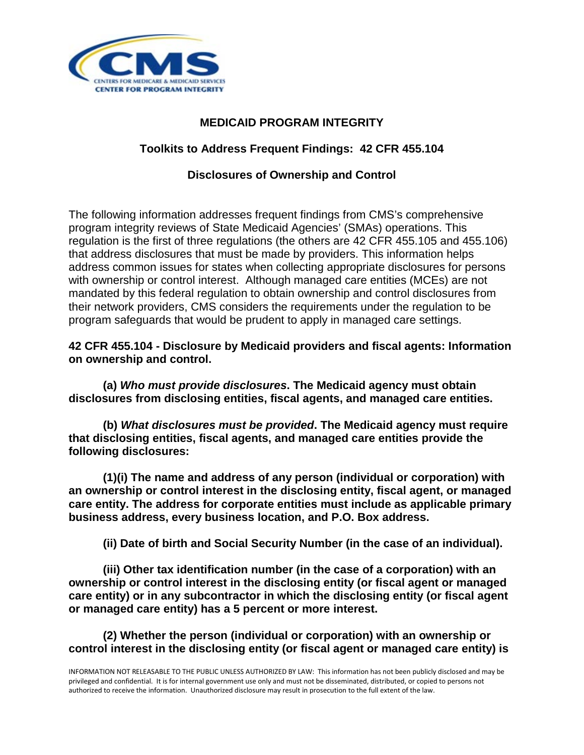

# **MEDICAID PROGRAM INTEGRITY**

# **Toolkits to Address Frequent Findings: 42 CFR 455.104**

## **Disclosures of Ownership and Control**

The following information addresses frequent findings from CMS's comprehensive program integrity reviews of State Medicaid Agencies' (SMAs) operations. This regulation is the first of three regulations (the others are 42 CFR 455.105 and 455.106) that address disclosures that must be made by providers. This information helps address common issues for states when collecting appropriate disclosures for persons with ownership or control interest. Although managed care entities (MCEs) are not mandated by this federal regulation to obtain ownership and control disclosures from their network providers, CMS considers the requirements under the regulation to be program safeguards that would be prudent to apply in managed care settings.

**42 CFR 455.104 - Disclosure by Medicaid providers and fiscal agents: Information on ownership and control.**

**(a)** *Who must provide disclosures***. The Medicaid agency must obtain disclosures from disclosing entities, fiscal agents, and managed care entities.**

**(b)** *What disclosures must be provided***. The Medicaid agency must require that disclosing entities, fiscal agents, and managed care entities provide the following disclosures:**

**(1)(i) The name and address of any person (individual or corporation) with an ownership or control interest in the disclosing entity, fiscal agent, or managed care entity. The address for corporate entities must include as applicable primary business address, every business location, and P.O. Box address.**

**(ii) Date of birth and Social Security Number (in the case of an individual).**

**(iii) Other tax identification number (in the case of a corporation) with an ownership or control interest in the disclosing entity (or fiscal agent or managed care entity) or in any subcontractor in which the disclosing entity (or fiscal agent or managed care entity) has a 5 percent or more interest.**

**(2) Whether the person (individual or corporation) with an ownership or control interest in the disclosing entity (or fiscal agent or managed care entity) is**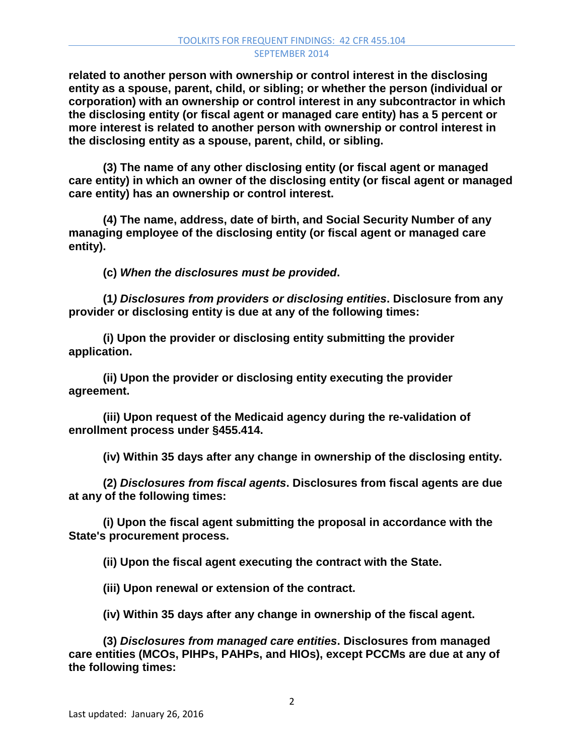**related to another person with ownership or control interest in the disclosing entity as a spouse, parent, child, or sibling; or whether the person (individual or corporation) with an ownership or control interest in any subcontractor in which the disclosing entity (or fiscal agent or managed care entity) has a 5 percent or more interest is related to another person with ownership or control interest in the disclosing entity as a spouse, parent, child, or sibling.**

**(3) The name of any other disclosing entity (or fiscal agent or managed care entity) in which an owner of the disclosing entity (or fiscal agent or managed care entity) has an ownership or control interest.**

**(4) The name, address, date of birth, and Social Security Number of any managing employee of the disclosing entity (or fiscal agent or managed care entity).**

**(c)** *When the disclosures must be provided***.**

**(1***) Disclosures from providers or disclosing entities***. Disclosure from any provider or disclosing entity is due at any of the following times:**

**(i) Upon the provider or disclosing entity submitting the provider application.**

**(ii) Upon the provider or disclosing entity executing the provider agreement.**

**(iii) Upon request of the Medicaid agency during the re-validation of enrollment process under §455.414.**

**(iv) Within 35 days after any change in ownership of the disclosing entity.**

**(2)** *Disclosures from fiscal agents***. Disclosures from fiscal agents are due at any of the following times:**

**(i) Upon the fiscal agent submitting the proposal in accordance with the State's procurement process.**

**(ii) Upon the fiscal agent executing the contract with the State.**

**(iii) Upon renewal or extension of the contract.**

**(iv) Within 35 days after any change in ownership of the fiscal agent.**

**(3)** *Disclosures from managed care entities***. Disclosures from managed care entities (MCOs, PIHPs, PAHPs, and HIOs), except PCCMs are due at any of the following times:**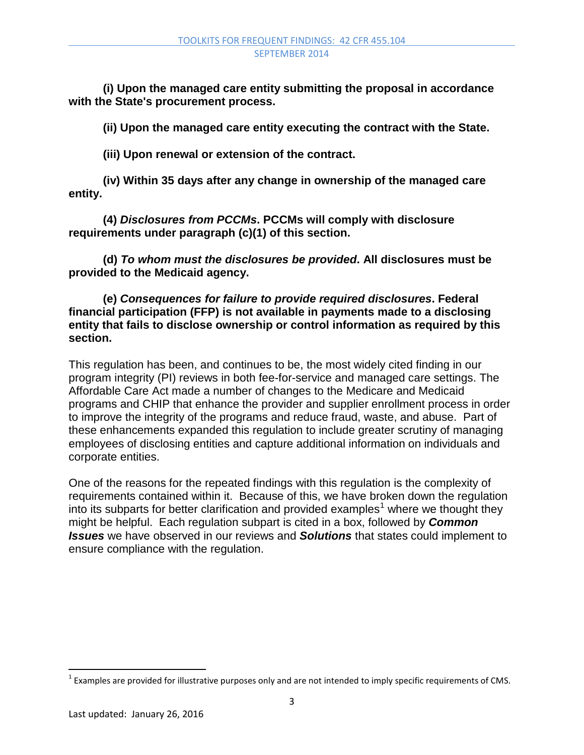**(i) Upon the managed care entity submitting the proposal in accordance with the State's procurement process.**

**(ii) Upon the managed care entity executing the contract with the State.**

**(iii) Upon renewal or extension of the contract.**

**(iv) Within 35 days after any change in ownership of the managed care entity.**

**(4)** *Disclosures from PCCMs***. PCCMs will comply with disclosure requirements under paragraph (c)(1) of this section.**

**(d)** *To whom must the disclosures be provided***. All disclosures must be provided to the Medicaid agency.**

**(e)** *Consequences for failure to provide required disclosures***. Federal financial participation (FFP) is not available in payments made to a disclosing entity that fails to disclose ownership or control information as required by this section.**

This regulation has been, and continues to be, the most widely cited finding in our program integrity (PI) reviews in both fee-for-service and managed care settings. The Affordable Care Act made a number of changes to the Medicare and Medicaid programs and CHIP that enhance the provider and supplier enrollment process in order to improve the integrity of the programs and reduce fraud, waste, and abuse. Part of these enhancements expanded this regulation to include greater scrutiny of managing employees of disclosing entities and capture additional information on individuals and corporate entities.

One of the reasons for the repeated findings with this regulation is the complexity of requirements contained within it. Because of this, we have broken down the regulation into its subparts for better clarification and provided examples<sup>[1](#page-2-0)</sup> where we thought they might be helpful. Each regulation subpart is cited in a box, followed by *Common Issues* we have observed in our reviews and *Solutions* that states could implement to ensure compliance with the regulation.

l

<span id="page-2-0"></span> $1$  Examples are provided for illustrative purposes only and are not intended to imply specific requirements of CMS.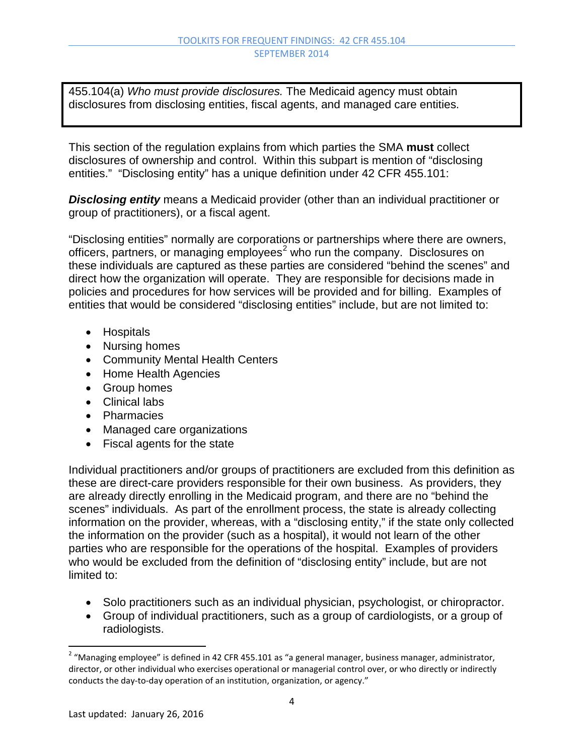455.104(a) *Who must provide disclosures.* The Medicaid agency must obtain disclosures from disclosing entities, fiscal agents, and managed care entities.

This section of the regulation explains from which parties the SMA **must** collect disclosures of ownership and control. Within this subpart is mention of "disclosing entities." "Disclosing entity" has a unique definition under 42 CFR 455.101:

*Disclosing entity* means a Medicaid provider (other than an individual practitioner or group of practitioners), or a fiscal agent.

"Disclosing entities" normally are corporations or partnerships where there are owners, officers, partners, or managing employees<sup>[2](#page-3-0)</sup> who run the company. Disclosures on these individuals are captured as these parties are considered "behind the scenes" and direct how the organization will operate. They are responsible for decisions made in policies and procedures for how services will be provided and for billing. Examples of entities that would be considered "disclosing entities" include, but are not limited to:

- Hospitals
- Nursing homes
- Community Mental Health Centers
- Home Health Agencies
- Group homes
- Clinical labs
- Pharmacies
- Managed care organizations
- Fiscal agents for the state

Individual practitioners and/or groups of practitioners are excluded from this definition as these are direct-care providers responsible for their own business. As providers, they are already directly enrolling in the Medicaid program, and there are no "behind the scenes" individuals. As part of the enrollment process, the state is already collecting information on the provider, whereas, with a "disclosing entity," if the state only collected the information on the provider (such as a hospital), it would not learn of the other parties who are responsible for the operations of the hospital. Examples of providers who would be excluded from the definition of "disclosing entity" include, but are not limited to:

- Solo practitioners such as an individual physician, psychologist, or chiropractor.
- Group of individual practitioners, such as a group of cardiologists, or a group of radiologists.

l

<span id="page-3-0"></span> $^{2}$  "Managing employee" is defined in 42 CFR 455.101 as "a general manager, business manager, administrator, director, or other individual who exercises operational or managerial control over, or who directly or indirectly conducts the day-to-day operation of an institution, organization, or agency."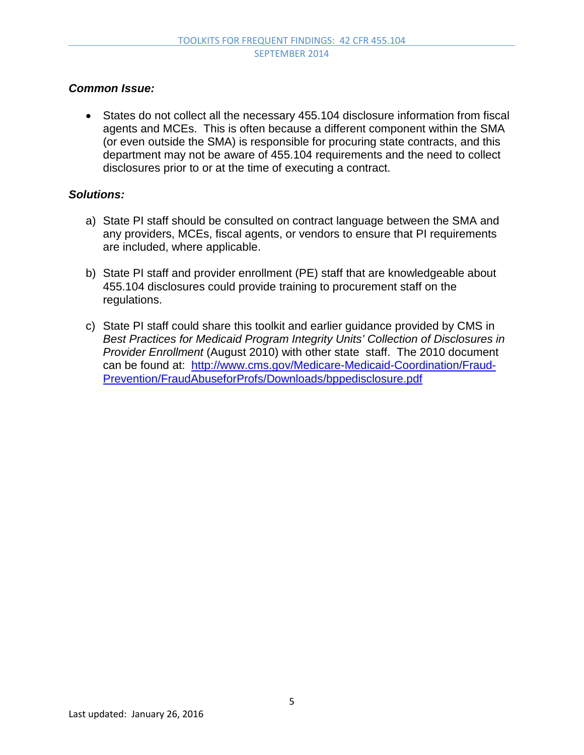### *Common Issue:*

• States do not collect all the necessary 455.104 disclosure information from fiscal agents and MCEs. This is often because a different component within the SMA (or even outside the SMA) is responsible for procuring state contracts, and this department may not be aware of 455.104 requirements and the need to collect disclosures prior to or at the time of executing a contract.

- a) State PI staff should be consulted on contract language between the SMA and any providers, MCEs, fiscal agents, or vendors to ensure that PI requirements are included, where applicable.
- b) State PI staff and provider enrollment (PE) staff that are knowledgeable about 455.104 disclosures could provide training to procurement staff on the regulations.
- c) State PI staff could share this toolkit and earlier guidance provided by CMS in *Best Practices for Medicaid Program Integrity Units' Collection of Disclosures in Provider Enrollment* (August 2010) with other state staff. The 2010 document can be found at: [http://www.cms.gov/Medicare-Medicaid-Coordination/Fraud-](http://www.cms.gov/Medicare-Medicaid-Coordination/Fraud-Prevention/FraudAbuseforProfs/Downloads/bppedisclosure.pdf)[Prevention/FraudAbuseforProfs/Downloads/bppedisclosure.pdf](http://www.cms.gov/Medicare-Medicaid-Coordination/Fraud-Prevention/FraudAbuseforProfs/Downloads/bppedisclosure.pdf)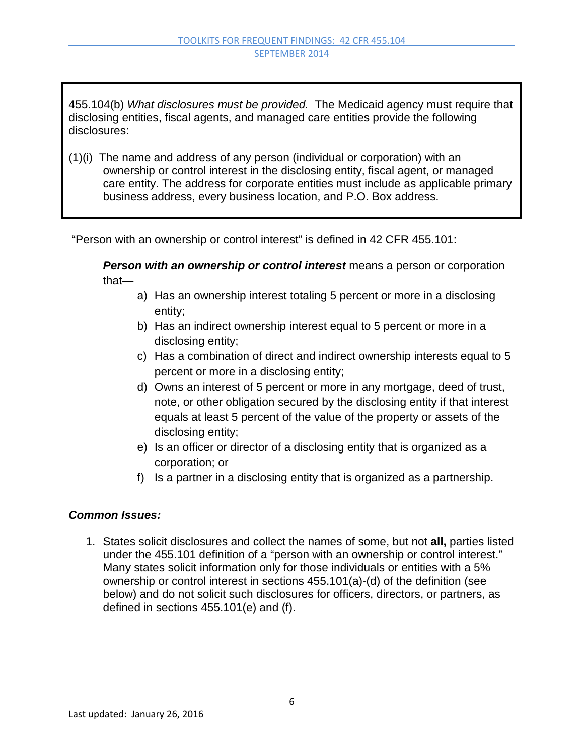455.104(b) *What disclosures must be provided.* The Medicaid agency must require that disclosing entities, fiscal agents, and managed care entities provide the following disclosures:

(1)(i) The name and address of any person (individual or corporation) with an ownership or control interest in the disclosing entity, fiscal agent, or managed care entity. The address for corporate entities must include as applicable primary business address, every business location, and P.O. Box address.

"Person with an ownership or control interest" is defined in 42 CFR 455.101:

*Person with an ownership or control interest* means a person or corporation that—

- a) Has an ownership interest totaling 5 percent or more in a disclosing entity;
- b) Has an indirect ownership interest equal to 5 percent or more in a disclosing entity;
- c) Has a combination of direct and indirect ownership interests equal to 5 percent or more in a disclosing entity;
- d) Owns an interest of 5 percent or more in any mortgage, deed of trust, note, or other obligation secured by the disclosing entity if that interest equals at least 5 percent of the value of the property or assets of the disclosing entity;
- e) Is an officer or director of a disclosing entity that is organized as a corporation; or
- f) Is a partner in a disclosing entity that is organized as a partnership.

### *Common Issues:*

1. States solicit disclosures and collect the names of some, but not **all,** parties listed under the 455.101 definition of a "person with an ownership or control interest." Many states solicit information only for those individuals or entities with a 5% ownership or control interest in sections 455.101(a)-(d) of the definition (see below) and do not solicit such disclosures for officers, directors, or partners, as defined in sections 455.101(e) and (f).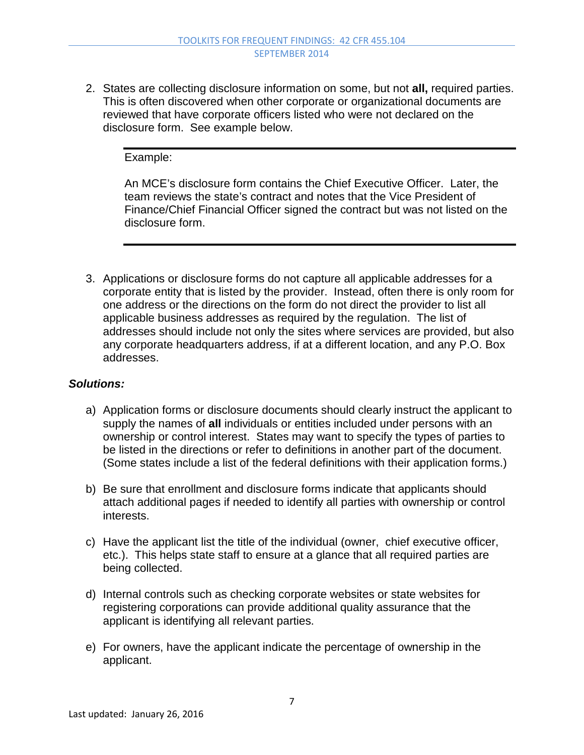2. States are collecting disclosure information on some, but not **all,** required parties. This is often discovered when other corporate or organizational documents are reviewed that have corporate officers listed who were not declared on the disclosure form. See example below.

Example:

An MCE's disclosure form contains the Chief Executive Officer. Later, the team reviews the state's contract and notes that the Vice President of Finance/Chief Financial Officer signed the contract but was not listed on the disclosure form.

3. Applications or disclosure forms do not capture all applicable addresses for a corporate entity that is listed by the provider. Instead, often there is only room for one address or the directions on the form do not direct the provider to list all applicable business addresses as required by the regulation. The list of addresses should include not only the sites where services are provided, but also any corporate headquarters address, if at a different location, and any P.O. Box addresses.

- a) Application forms or disclosure documents should clearly instruct the applicant to supply the names of **all** individuals or entities included under persons with an ownership or control interest. States may want to specify the types of parties to be listed in the directions or refer to definitions in another part of the document. (Some states include a list of the federal definitions with their application forms.)
- b) Be sure that enrollment and disclosure forms indicate that applicants should attach additional pages if needed to identify all parties with ownership or control interests.
- c) Have the applicant list the title of the individual (owner, chief executive officer, etc.). This helps state staff to ensure at a glance that all required parties are being collected.
- d) Internal controls such as checking corporate websites or state websites for registering corporations can provide additional quality assurance that the applicant is identifying all relevant parties.
- e) For owners, have the applicant indicate the percentage of ownership in the applicant.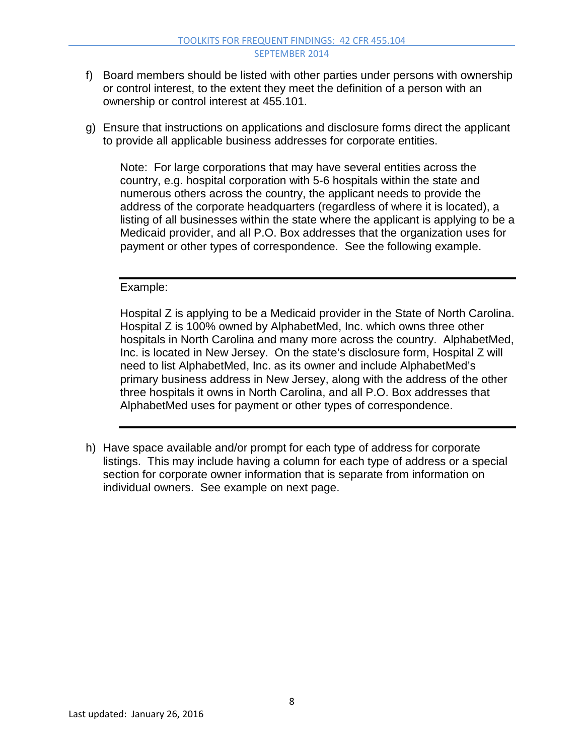- f) Board members should be listed with other parties under persons with ownership or control interest, to the extent they meet the definition of a person with an ownership or control interest at 455.101.
- g) Ensure that instructions on applications and disclosure forms direct the applicant to provide all applicable business addresses for corporate entities.

Note: For large corporations that may have several entities across the country, e.g. hospital corporation with 5-6 hospitals within the state and numerous others across the country, the applicant needs to provide the address of the corporate headquarters (regardless of where it is located), a listing of all businesses within the state where the applicant is applying to be a Medicaid provider, and all P.O. Box addresses that the organization uses for payment or other types of correspondence. See the following example.

Example:

Hospital Z is applying to be a Medicaid provider in the State of North Carolina. Hospital Z is 100% owned by AlphabetMed, Inc. which owns three other hospitals in North Carolina and many more across the country. AlphabetMed, Inc. is located in New Jersey. On the state's disclosure form, Hospital Z will need to list AlphabetMed, Inc. as its owner and include AlphabetMed's primary business address in New Jersey, along with the address of the other three hospitals it owns in North Carolina, and all P.O. Box addresses that AlphabetMed uses for payment or other types of correspondence.

h) Have space available and/or prompt for each type of address for corporate listings. This may include having a column for each type of address or a special section for corporate owner information that is separate from information on individual owners. See example on next page.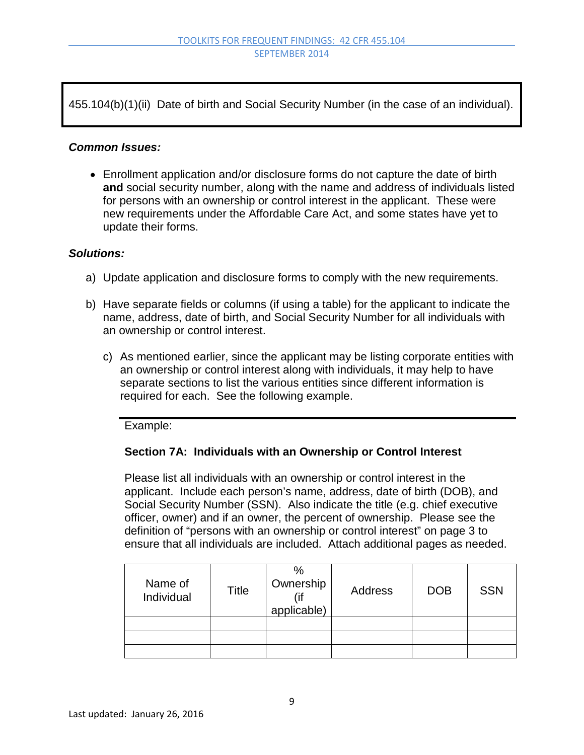455.104(b)(1)(ii) Date of birth and Social Security Number (in the case of an individual).

#### *Common Issues:*

• Enrollment application and/or disclosure forms do not capture the date of birth **and** social security number, along with the name and address of individuals listed for persons with an ownership or control interest in the applicant. These were new requirements under the Affordable Care Act, and some states have yet to update their forms.

#### *Solutions:*

- a) Update application and disclosure forms to comply with the new requirements.
- b) Have separate fields or columns (if using a table) for the applicant to indicate the name, address, date of birth, and Social Security Number for all individuals with an ownership or control interest.
	- c) As mentioned earlier, since the applicant may be listing corporate entities with an ownership or control interest along with individuals, it may help to have separate sections to list the various entities since different information is required for each. See the following example.

Example:

### **Section 7A: Individuals with an Ownership or Control Interest**

Please list all individuals with an ownership or control interest in the applicant. Include each person's name, address, date of birth (DOB), and Social Security Number (SSN). Also indicate the title (e.g. chief executive officer, owner) and if an owner, the percent of ownership. Please see the definition of "persons with an ownership or control interest" on page 3 to ensure that all individuals are included. Attach additional pages as needed.

| Name of<br>Individual | Title | %<br>Ownership<br>(if<br>applicable) | Address | <b>DOB</b> | <b>SSN</b> |
|-----------------------|-------|--------------------------------------|---------|------------|------------|
|                       |       |                                      |         |            |            |
|                       |       |                                      |         |            |            |
|                       |       |                                      |         |            |            |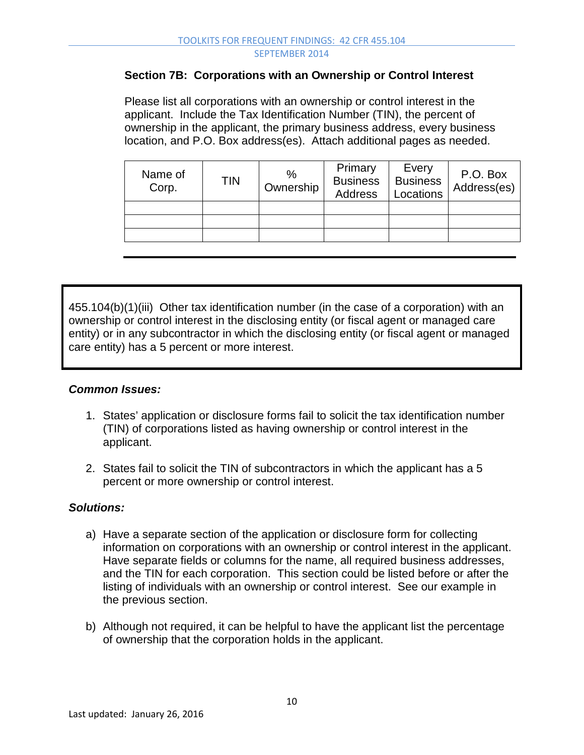### **Section 7B: Corporations with an Ownership or Control Interest**

Please list all corporations with an ownership or control interest in the applicant. Include the Tax Identification Number (TIN), the percent of ownership in the applicant, the primary business address, every business location, and P.O. Box address(es). Attach additional pages as needed.

| Name of<br>Corp. | TIN | %<br>Ownership | Primary<br><b>Business</b><br><b>Address</b> | Every<br><b>Business</b><br>Locations | P.O. Box<br>Address(es) |
|------------------|-----|----------------|----------------------------------------------|---------------------------------------|-------------------------|
|                  |     |                |                                              |                                       |                         |
|                  |     |                |                                              |                                       |                         |
|                  |     |                |                                              |                                       |                         |

455.104(b)(1)(iii) Other tax identification number (in the case of a corporation) with an ownership or control interest in the disclosing entity (or fiscal agent or managed care entity) or in any subcontractor in which the disclosing entity (or fiscal agent or managed care entity) has a 5 percent or more interest.

# *Common Issues:*

- 1. States' application or disclosure forms fail to solicit the tax identification number (TIN) of corporations listed as having ownership or control interest in the applicant.
- 2. States fail to solicit the TIN of subcontractors in which the applicant has a 5 percent or more ownership or control interest.

- a) Have a separate section of the application or disclosure form for collecting information on corporations with an ownership or control interest in the applicant. Have separate fields or columns for the name, all required business addresses, and the TIN for each corporation. This section could be listed before or after the listing of individuals with an ownership or control interest. See our example in the previous section.
- b) Although not required, it can be helpful to have the applicant list the percentage of ownership that the corporation holds in the applicant.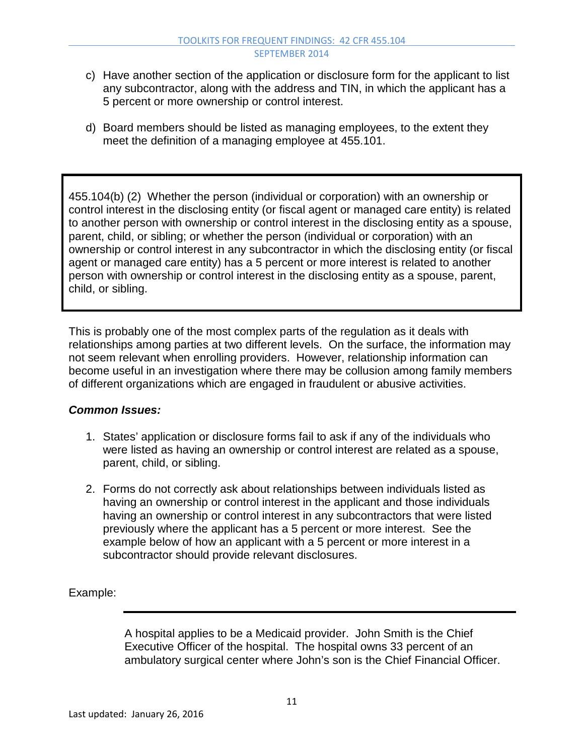- c) Have another section of the application or disclosure form for the applicant to list any subcontractor, along with the address and TIN, in which the applicant has a 5 percent or more ownership or control interest.
- d) Board members should be listed as managing employees, to the extent they meet the definition of a managing employee at 455.101.

455.104(b) (2) Whether the person (individual or corporation) with an ownership or control interest in the disclosing entity (or fiscal agent or managed care entity) is related to another person with ownership or control interest in the disclosing entity as a spouse, parent, child, or sibling; or whether the person (individual or corporation) with an ownership or control interest in any subcontractor in which the disclosing entity (or fiscal agent or managed care entity) has a 5 percent or more interest is related to another person with ownership or control interest in the disclosing entity as a spouse, parent, child, or sibling.

This is probably one of the most complex parts of the regulation as it deals with relationships among parties at two different levels. On the surface, the information may not seem relevant when enrolling providers. However, relationship information can become useful in an investigation where there may be collusion among family members of different organizations which are engaged in fraudulent or abusive activities.

### *Common Issues:*

- 1. States' application or disclosure forms fail to ask if any of the individuals who were listed as having an ownership or control interest are related as a spouse, parent, child, or sibling.
- 2. Forms do not correctly ask about relationships between individuals listed as having an ownership or control interest in the applicant and those individuals having an ownership or control interest in any subcontractors that were listed previously where the applicant has a 5 percent or more interest. See the example below of how an applicant with a 5 percent or more interest in a subcontractor should provide relevant disclosures.

Example:

A hospital applies to be a Medicaid provider. John Smith is the Chief Executive Officer of the hospital. The hospital owns 33 percent of an ambulatory surgical center where John's son is the Chief Financial Officer.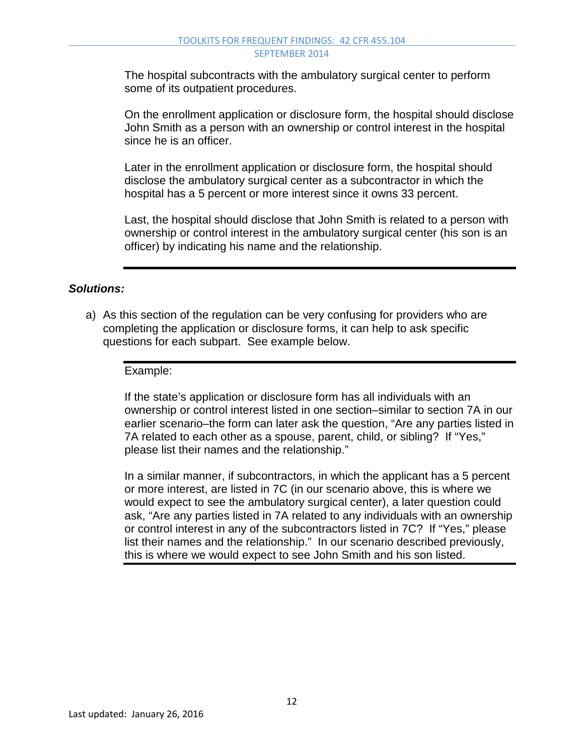The hospital subcontracts with the ambulatory surgical center to perform some of its outpatient procedures.

On the enrollment application or disclosure form, the hospital should disclose John Smith as a person with an ownership or control interest in the hospital since he is an officer.

Later in the enrollment application or disclosure form, the hospital should disclose the ambulatory surgical center as a subcontractor in which the hospital has a 5 percent or more interest since it owns 33 percent.

Last, the hospital should disclose that John Smith is related to a person with ownership or control interest in the ambulatory surgical center (his son is an officer) by indicating his name and the relationship.

## *Solutions:*

a) As this section of the regulation can be very confusing for providers who are completing the application or disclosure forms, it can help to ask specific questions for each subpart. See example below.

### Example:

If the state's application or disclosure form has all individuals with an ownership or control interest listed in one section–similar to section 7A in our earlier scenario–the form can later ask the question, "Are any parties listed in 7A related to each other as a spouse, parent, child, or sibling? If "Yes," please list their names and the relationship."

In a similar manner, if subcontractors, in which the applicant has a 5 percent or more interest, are listed in 7C (in our scenario above, this is where we would expect to see the ambulatory surgical center), a later question could ask, "Are any parties listed in 7A related to any individuals with an ownership or control interest in any of the subcontractors listed in 7C? If "Yes," please list their names and the relationship." In our scenario described previously, this is where we would expect to see John Smith and his son listed.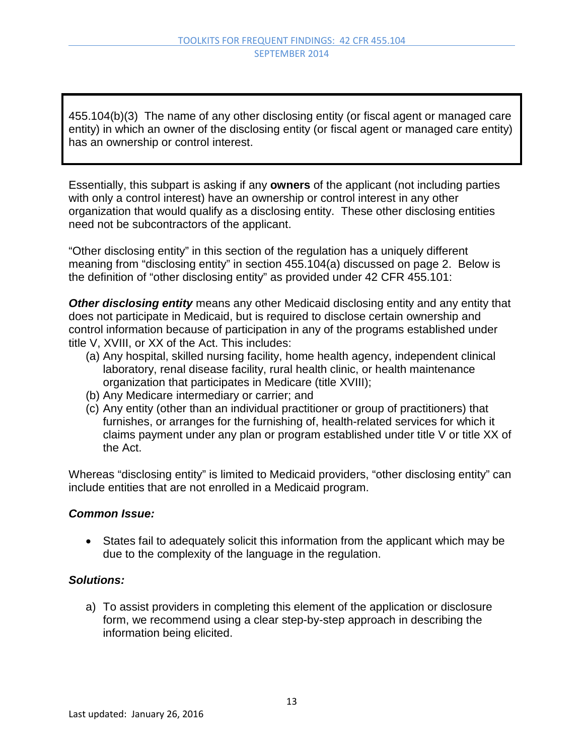455.104(b)(3) The name of any other disclosing entity (or fiscal agent or managed care entity) in which an owner of the disclosing entity (or fiscal agent or managed care entity) has an ownership or control interest.

Essentially, this subpart is asking if any **owners** of the applicant (not including parties with only a control interest) have an ownership or control interest in any other organization that would qualify as a disclosing entity. These other disclosing entities need not be subcontractors of the applicant.

"Other disclosing entity" in this section of the regulation has a uniquely different meaning from "disclosing entity" in section 455.104(a) discussed on page 2. Below is the definition of "other disclosing entity" as provided under 42 CFR 455.101:

*Other disclosing entity* means any other Medicaid disclosing entity and any entity that does not participate in Medicaid, but is required to disclose certain ownership and control information because of participation in any of the programs established under title V, XVIII, or XX of the Act. This includes:

- (a) Any hospital, skilled nursing facility, home health agency, independent clinical laboratory, renal disease facility, rural health clinic, or health maintenance organization that participates in Medicare (title XVIII);
- (b) Any Medicare intermediary or carrier; and
- (c) Any entity (other than an individual practitioner or group of practitioners) that furnishes, or arranges for the furnishing of, health-related services for which it claims payment under any plan or program established under title V or title XX of the Act.

Whereas "disclosing entity" is limited to Medicaid providers, "other disclosing entity" can include entities that are not enrolled in a Medicaid program.

### *Common Issue:*

• States fail to adequately solicit this information from the applicant which may be due to the complexity of the language in the regulation.

### *Solutions:*

a) To assist providers in completing this element of the application or disclosure form, we recommend using a clear step-by-step approach in describing the information being elicited.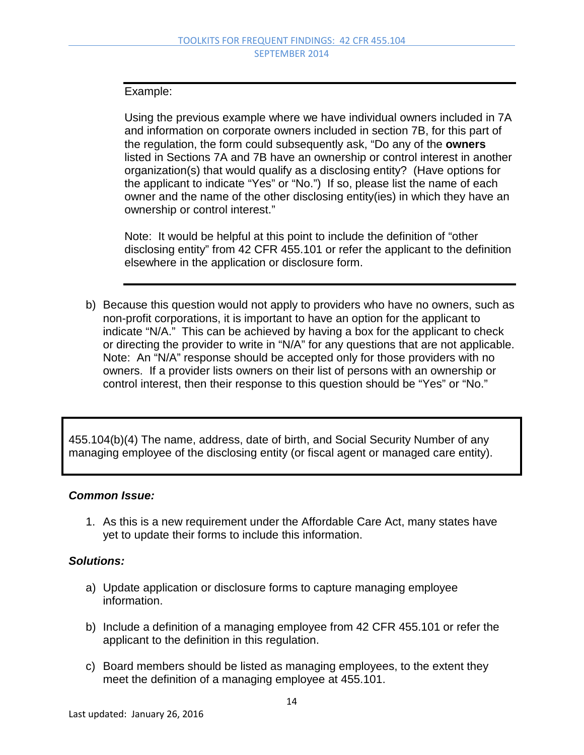#### Example:

Using the previous example where we have individual owners included in 7A and information on corporate owners included in section 7B, for this part of the regulation, the form could subsequently ask, "Do any of the **owners** listed in Sections 7A and 7B have an ownership or control interest in another organization(s) that would qualify as a disclosing entity? (Have options for the applicant to indicate "Yes" or "No.") If so, please list the name of each owner and the name of the other disclosing entity(ies) in which they have an ownership or control interest."

Note: It would be helpful at this point to include the definition of "other disclosing entity" from 42 CFR 455.101 or refer the applicant to the definition elsewhere in the application or disclosure form.

b) Because this question would not apply to providers who have no owners, such as non-profit corporations, it is important to have an option for the applicant to indicate "N/A." This can be achieved by having a box for the applicant to check or directing the provider to write in "N/A" for any questions that are not applicable. Note: An "N/A" response should be accepted only for those providers with no owners. If a provider lists owners on their list of persons with an ownership or control interest, then their response to this question should be "Yes" or "No."

455.104(b)(4) The name, address, date of birth, and Social Security Number of any managing employee of the disclosing entity (or fiscal agent or managed care entity).

### *Common Issue:*

1. As this is a new requirement under the Affordable Care Act, many states have yet to update their forms to include this information.

- a) Update application or disclosure forms to capture managing employee information.
- b) Include a definition of a managing employee from 42 CFR 455.101 or refer the applicant to the definition in this regulation.
- c) Board members should be listed as managing employees, to the extent they meet the definition of a managing employee at 455.101.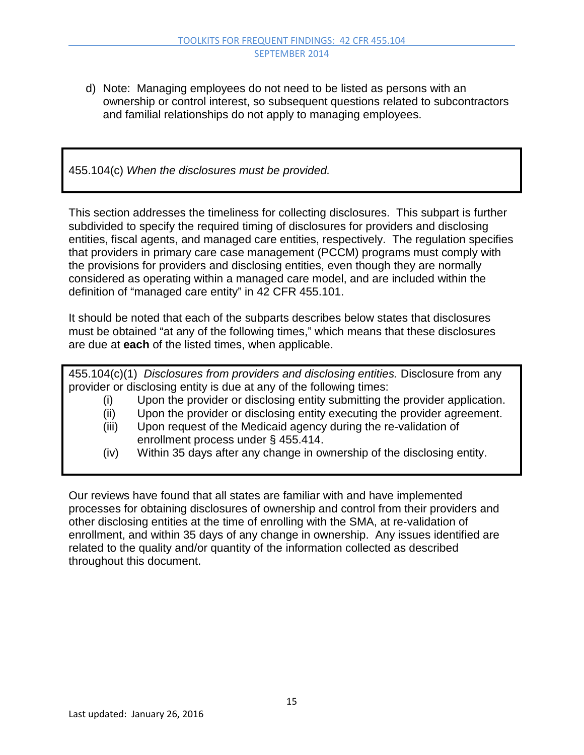d) Note: Managing employees do not need to be listed as persons with an ownership or control interest, so subsequent questions related to subcontractors and familial relationships do not apply to managing employees.

455.104(c) *When the disclosures must be provided.*

This section addresses the timeliness for collecting disclosures. This subpart is further subdivided to specify the required timing of disclosures for providers and disclosing entities, fiscal agents, and managed care entities, respectively. The regulation specifies that providers in primary care case management (PCCM) programs must comply with the provisions for providers and disclosing entities, even though they are normally considered as operating within a managed care model, and are included within the definition of "managed care entity" in 42 CFR 455.101.

It should be noted that each of the subparts describes below states that disclosures must be obtained "at any of the following times," which means that these disclosures are due at **each** of the listed times, when applicable.

455.104(c)(1) *Disclosures from providers and disclosing entities.* Disclosure from any provider or disclosing entity is due at any of the following times:

- (i) Upon the provider or disclosing entity submitting the provider application.
- (ii) Upon the provider or disclosing entity executing the provider agreement.
- (iii) Upon request of the Medicaid agency during the re-validation of enrollment process under § 455.414.
- (iv) Within 35 days after any change in ownership of the disclosing entity.

Our reviews have found that all states are familiar with and have implemented processes for obtaining disclosures of ownership and control from their providers and other disclosing entities at the time of enrolling with the SMA, at re-validation of enrollment, and within 35 days of any change in ownership. Any issues identified are related to the quality and/or quantity of the information collected as described throughout this document.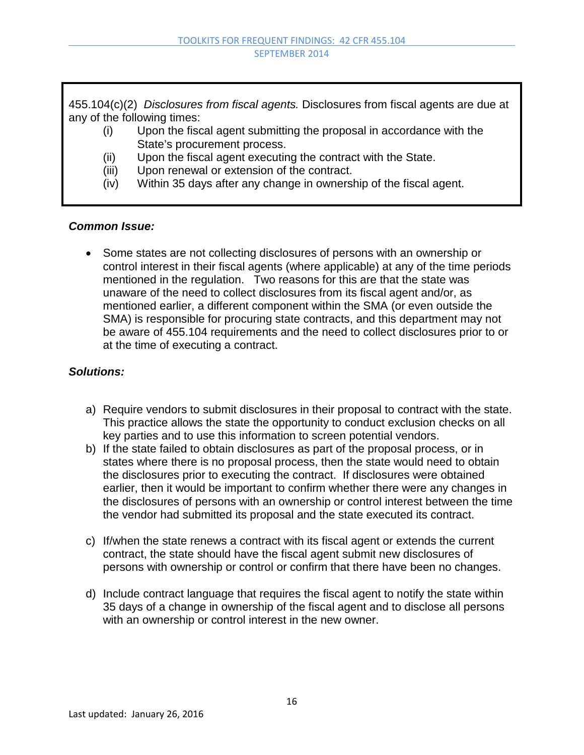455.104(c)(2) *Disclosures from fiscal agents.* Disclosures from fiscal agents are due at any of the following times:

- (i) Upon the fiscal agent submitting the proposal in accordance with the State's procurement process.
- (ii) Upon the fiscal agent executing the contract with the State.
- (iii) Upon renewal or extension of the contract.
- (iv) Within 35 days after any change in ownership of the fiscal agent.

### *Common Issue:*

• Some states are not collecting disclosures of persons with an ownership or control interest in their fiscal agents (where applicable) at any of the time periods mentioned in the regulation. Two reasons for this are that the state was unaware of the need to collect disclosures from its fiscal agent and/or, as mentioned earlier, a different component within the SMA (or even outside the SMA) is responsible for procuring state contracts, and this department may not be aware of 455.104 requirements and the need to collect disclosures prior to or at the time of executing a contract.

- a) Require vendors to submit disclosures in their proposal to contract with the state. This practice allows the state the opportunity to conduct exclusion checks on all key parties and to use this information to screen potential vendors.
- b) If the state failed to obtain disclosures as part of the proposal process, or in states where there is no proposal process, then the state would need to obtain the disclosures prior to executing the contract. If disclosures were obtained earlier, then it would be important to confirm whether there were any changes in the disclosures of persons with an ownership or control interest between the time the vendor had submitted its proposal and the state executed its contract.
- c) If/when the state renews a contract with its fiscal agent or extends the current contract, the state should have the fiscal agent submit new disclosures of persons with ownership or control or confirm that there have been no changes.
- d) Include contract language that requires the fiscal agent to notify the state within 35 days of a change in ownership of the fiscal agent and to disclose all persons with an ownership or control interest in the new owner.